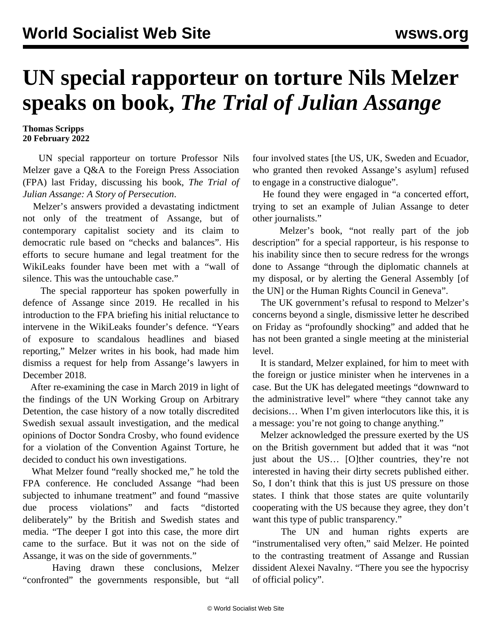## **UN special rapporteur on torture Nils Melzer speaks on book,** *The Trial of Julian Assange*

## **Thomas Scripps 20 February 2022**

 UN special rapporteur on torture Professor Nils Melzer gave a Q&A to the Foreign Press Association (FPA) last Friday, discussing his book, *The Trial of Julian Assange: A Story of Persecution*.

 Melzer's answers provided a devastating indictment not only of the treatment of Assange, but of contemporary capitalist society and its claim to democratic rule based on "checks and balances". His efforts to secure humane and legal treatment for the WikiLeaks founder have been met with a "wall of silence. This was the untouchable case."

 The special rapporteur has spoken powerfully in defence of Assange since 2019. He recalled in his introduction to the FPA briefing his initial reluctance to intervene in the WikiLeaks founder's defence. "Years of exposure to scandalous headlines and biased reporting," Melzer writes in his book, had made him dismiss a request for help from Assange's lawyers in December 2018.

 After re-examining the case in March 2019 in light of the findings of the UN Working Group on Arbitrary Detention, the case history of a now totally discredited Swedish sexual assault investigation, and the medical opinions of Doctor Sondra Crosby, who found evidence for a violation of the Convention Against Torture, he decided to conduct his own investigations.

 What Melzer found "really shocked me," he told the FPA conference. He concluded Assange "had been subjected to inhumane treatment" and found "massive due process violations" and facts "distorted deliberately" by the British and Swedish states and media. "The deeper I got into this case, the more dirt came to the surface. But it was not on the side of Assange, it was on the side of governments."

 Having drawn these conclusions, Melzer "confronted" the governments responsible, but "all four involved states [the US, UK, Sweden and Ecuador, who granted then revoked Assange's asylum] refused to engage in a constructive dialogue".

 He found they were engaged in "a concerted effort, trying to set an example of Julian Assange to deter other journalists."

 Melzer's book, "not really part of the job description" for a special rapporteur, is his response to his inability since then to secure redress for the wrongs done to Assange "through the diplomatic channels at my disposal, or by alerting the General Assembly [of the UN] or the Human Rights Council in Geneva".

 The UK government's refusal to respond to Melzer's concerns beyond a single, dismissive letter he described on Friday as "profoundly shocking" and added that he has not been granted a single meeting at the ministerial level.

 It is standard, Melzer explained, for him to meet with the foreign or justice minister when he intervenes in a case. But the UK has delegated meetings "downward to the administrative level" where "they cannot take any decisions… When I'm given interlocutors like this, it is a message: you're not going to change anything."

 Melzer acknowledged the pressure exerted by the US on the British government but added that it was "not just about the US… [O]ther countries, they're not interested in having their dirty secrets published either. So, I don't think that this is just US pressure on those states. I think that those states are quite voluntarily cooperating with the US because they agree, they don't want this type of public transparency."

 The UN and human rights experts are "instrumentalised very often," said Melzer. He pointed to the contrasting treatment of Assange and Russian dissident Alexei Navalny. "There you see the hypocrisy of official policy".